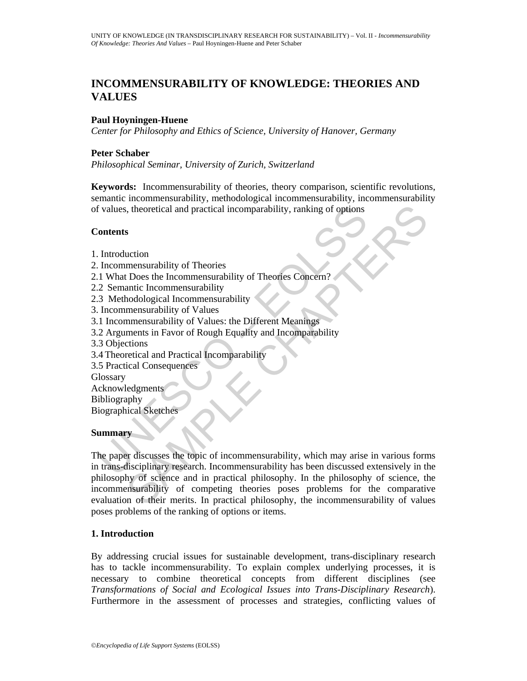# **INCOMMENSURABILITY OF KNOWLEDGE: THEORIES AND VALUES**

#### **Paul Hoyningen-Huene**

*Center for Philosophy and Ethics of Science, University of Hanover, Germany* 

#### **Peter Schaber**

*Philosophical Seminar, University of Zurich, Switzerland* 

**Keywords:** Incommensurability of theories, theory comparison, scientific revolutions, semantic incommensurability, methodological incommensurability, incommensurability of values, theoretical and practical incomparability, ranking of options

#### **Contents**

- 1. Introduction
- 2. Incommensurability of Theories
- 2.1 What Does the Incommensurability of Theories Concern?
- 2.2 Semantic Incommensurability
- 2.3 Methodological Incommensurability
- 3. Incommensurability of Values
- 3.1 Incommensurability of Values: the Different Meanings
- 3.2 Arguments in Favor of Rough Equality and Incomparability
- 3.3 Objections
- 3.4 Theoretical and Practical Incomparability
- 3.5 Practical Consequences

**Glossary** Acknowledgments Bibliography

Biographical Sketches

#### **Summary**

Follows, theoretical and practical incomparability, ranking of options<br>
Sontents<br>
Untroduction<br>
In Unhat Docs the Incommensurability of Theories<br>
2 Semantic Incommensurability of Theories Concern?<br>
2 Semantic Incommensurab Fractical and practical incomparability, ranking of options<br>
S<br>
S<br>
S<br>
S<br>
Cution<br>
mensurability of Theories<br>
IDoes the Incommensurability<br>
mensurability of Values: the Different Meanings<br>
mensurability of Values: the Differ The paper discusses the topic of incommensurability, which may arise in various forms in trans-disciplinary research. Incommensurability has been discussed extensively in the philosophy of science and in practical philosophy. In the philosophy of science, the incommensurability of competing theories poses problems for the comparative evaluation of their merits. In practical philosophy, the incommensurability of values poses problems of the ranking of options or items.

### **1. Introduction**

By addressing crucial issues for sustainable development, trans-disciplinary research has to tackle incommensurability. To explain complex underlying processes, it is necessary to combine theoretical concepts from different disciplines (see *Transformations of Social and Ecological Issues into Trans-Disciplinary Research*). Furthermore in the assessment of processes and strategies, conflicting values of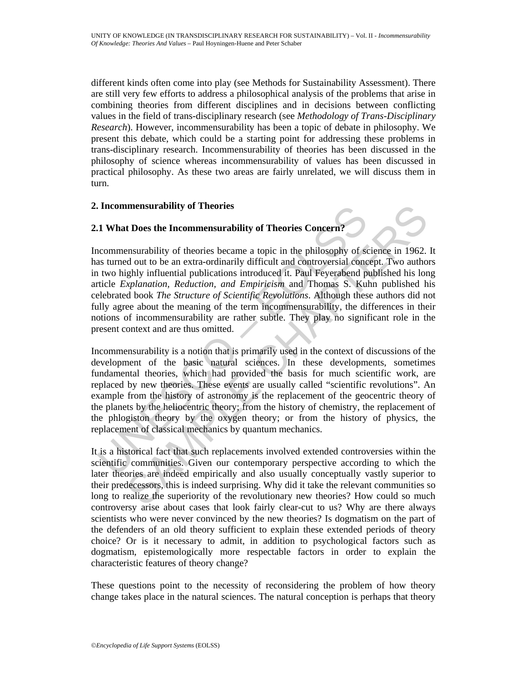different kinds often come into play (see Methods for Sustainability Assessment). There are still very few efforts to address a philosophical analysis of the problems that arise in combining theories from different disciplines and in decisions between conflicting values in the field of trans-disciplinary research (see *Methodology of Trans-Disciplinary Research*). However, incommensurability has been a topic of debate in philosophy. We present this debate, which could be a starting point for addressing these problems in trans-disciplinary research. Incommensurability of theories has been discussed in the philosophy of science whereas incommensurability of values has been discussed in practical philosophy. As these two areas are fairly unrelated, we will discuss them in turn.

#### **2. Incommensurability of Theories**

### **2.1 What Does the Incommensurability of Theories Concern?**

Incommensurability of theories became a topic in the philosophy of science in 1962. It has turned out to be an extra-ordinarily difficult and controversial concept. Two authors in two highly influential publications introduced it. Paul Feyerabend published his long article *Explanation, Reduction, and Empiricism* and Thomas S. Kuhn published his celebrated book *The Structure of Scientific Revolutions*. Although these authors did not fully agree about the meaning of the term incommensurability, the differences in their notions of incommensurability are rather subtle. They play no significant role in the present context and are thus omitted.

**1. What Does the Incommentallity of Theories**<br> **1. What Does the Incommentallity of Theories Concern?**<br> **1. What Does the Incommentallity of Theories Concern?**<br> **2. as turned out to be an extra-ordinarily difficult and C Innensurability of Theories**<br> **Choos the Inconnmensurability of Theories Concern?**<br> **Choose the Inconnmensurability of Theories Concern?**<br> **Choose Theories because a** topic in the philosophy of science in 1962.<br>
Industry Incommensurability is a notion that is primarily used in the context of discussions of the development of the basic natural sciences. In these developments, sometimes fundamental theories, which had provided the basis for much scientific work, are replaced by new theories. These events are usually called "scientific revolutions". An example from the history of astronomy is the replacement of the geocentric theory of the planets by the heliocentric theory; from the history of chemistry, the replacement of the phlogiston theory by the oxygen theory; or from the history of physics, the replacement of classical mechanics by quantum mechanics.

It is a historical fact that such replacements involved extended controversies within the scientific communities. Given our contemporary perspective according to which the later theories are indeed empirically and also usually conceptually vastly superior to their predecessors, this is indeed surprising. Why did it take the relevant communities so long to realize the superiority of the revolutionary new theories? How could so much controversy arise about cases that look fairly clear-cut to us? Why are there always scientists who were never convinced by the new theories? Is dogmatism on the part of the defenders of an old theory sufficient to explain these extended periods of theory choice? Or is it necessary to admit, in addition to psychological factors such as dogmatism, epistemologically more respectable factors in order to explain the characteristic features of theory change?

These questions point to the necessity of reconsidering the problem of how theory change takes place in the natural sciences. The natural conception is perhaps that theory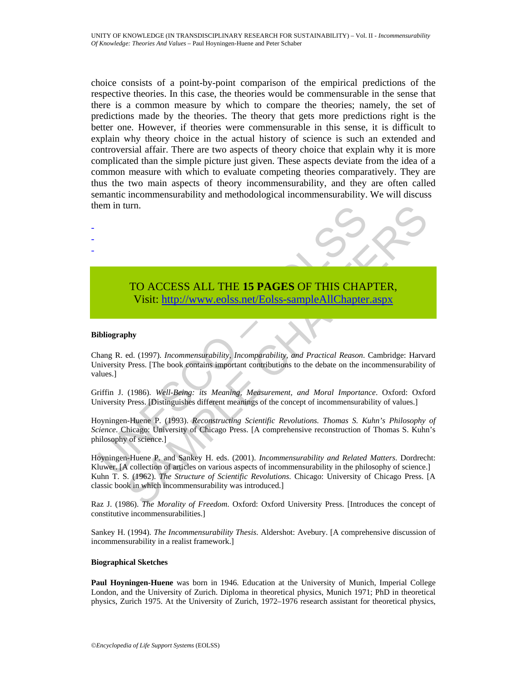choice consists of a point-by-point comparison of the empirical predictions of the respective theories. In this case, the theories would be commensurable in the sense that there is a common measure by which to compare the theories; namely, the set of predictions made by the theories. The theory that gets more predictions right is the better one. However, if theories were commensurable in this sense, it is difficult to explain why theory choice in the actual history of science is such an extended and controversial affair. There are two aspects of theory choice that explain why it is more complicated than the simple picture just given. These aspects deviate from the idea of a common measure with which to evaluate competing theories comparatively. They are thus the two main aspects of theory incommensurability, and they are often called semantic incommensurability and methodological incommensurability. We will discuss them in turn.

## TO ACCESS ALL THE **15 PAGES** OF THIS CHAPTER, Visit: http://www.eolss.net/Eolss-sampleAllChapter.aspx

#### **Bibliography**

- - -

Chang R. ed. (1997). *Incommensurability, Incomparability, and Practical Reason*. Cambridge: Harvard University Press. [The book contains important contributions to the debate on the incommensurability of values.]

Griffin J. (1986). *Well-Being: its Meaning, Measurement, and Moral Importance*. Oxford: Oxford University Press. [Distinguishes different meanings of the concept of incommensurability of values.]

TO ACCESS ALL THE 15 PAGES OF THIS CHA<br>
Visit: http://www.colss.net/Eolss-sampleAllChapter<br>
ibliography<br>
ibliography<br>
ibliography<br>
ibliography<br>
ibliography<br>
ibliography<br>
if the book contains important contibutions to the d Hoyningen-Huene P. (1993). *Reconstructing Scientific Revolutions. Thomas S. Kuhn's Philosophy of Science*. Chicago: University of Chicago Press. [A comprehensive reconstruction of Thomas S. Kuhn's philosophy of science.]

TO ACCESS ALL THE 15 PAGES OF THIS CH[APT](https://www.eolss.net/ebooklib/sc_cart.aspx?File=E6-49-02-04)ER,<br>
Visit: http://www.eolss.net/Eolss-sampleAllChapter.aspx<br>
bhy<br>
ed. (1997). Incommensurability, incomparability, and Practical Reason. Cambridge: Harva<br>
Press. [The book contains Hoyningen-Huene P. and Sankey H. eds. (2001). *Incommensurability and Related Matters*. Dordrecht: Kluwer. [A collection of articles on various aspects of incommensurability in the philosophy of science.] Kuhn T. S. (1962). *The Structure of Scientific Revolutions*. Chicago: University of Chicago Press. [A classic book in which incommensurability was introduced.]

Raz J. (1986). *The Morality of Freedom*. Oxford: Oxford University Press. [Introduces the concept of constitutive incommensurabilities.]

Sankey H. (1994). *The Incommensurability Thesis*. Aldershot: Avebury. [A comprehensive discussion of incommensurability in a realist framework.]

#### **Biographical Sketches**

**Paul Hoyningen-Huene** was born in 1946. Education at the University of Munich, Imperial College London, and the University of Zurich. Diploma in theoretical physics, Munich 1971; PhD in theoretical physics, Zurich 1975. At the University of Zurich, 1972–1976 research assistant for theoretical physics,